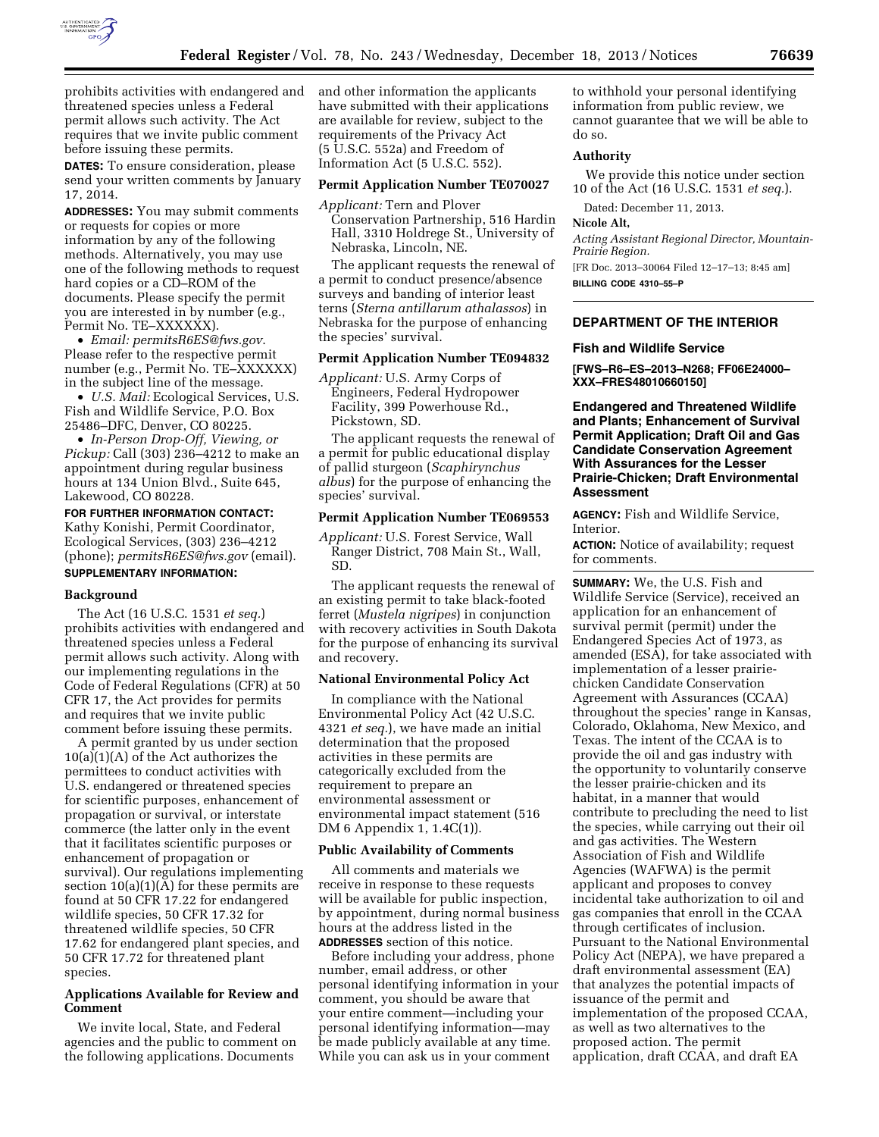

prohibits activities with endangered and threatened species unless a Federal permit allows such activity. The Act requires that we invite public comment before issuing these permits.

**DATES:** To ensure consideration, please send your written comments by January 17, 2014.

**ADDRESSES:** You may submit comments or requests for copies or more information by any of the following methods. Alternatively, you may use one of the following methods to request hard copies or a CD–ROM of the documents. Please specify the permit you are interested in by number (e.g., Permit No. TE–XXXXXX).

• *Email: [permitsR6ES@fws.gov](mailto:permitsR6ES@fws.gov)*. Please refer to the respective permit number (e.g., Permit No. TE–XXXXXX) in the subject line of the message.

• *U.S. Mail:* Ecological Services, U.S. Fish and Wildlife Service, P.O. Box 25486–DFC, Denver, CO 80225.

• *In-Person Drop-Off, Viewing, or Pickup:* Call (303) 236–4212 to make an appointment during regular business hours at 134 Union Blvd., Suite 645, Lakewood, CO 80228.

**FOR FURTHER INFORMATION CONTACT:**  Kathy Konishi, Permit Coordinator, Ecological Services, (303) 236–4212 (phone); *[permitsR6ES@fws.gov](mailto:permitsR6ES@fws.gov)* (email). **SUPPLEMENTARY INFORMATION:** 

### **Background**

The Act (16 U.S.C. 1531 *et seq.*) prohibits activities with endangered and threatened species unless a Federal permit allows such activity. Along with our implementing regulations in the Code of Federal Regulations (CFR) at 50 CFR 17, the Act provides for permits and requires that we invite public comment before issuing these permits.

A permit granted by us under section  $10(a)(1)(A)$  of the Act authorizes the permittees to conduct activities with U.S. endangered or threatened species for scientific purposes, enhancement of propagation or survival, or interstate commerce (the latter only in the event that it facilitates scientific purposes or enhancement of propagation or survival). Our regulations implementing section 10(a)(1)(A) for these permits are found at 50 CFR 17.22 for endangered wildlife species, 50 CFR 17.32 for threatened wildlife species, 50 CFR 17.62 for endangered plant species, and 50 CFR 17.72 for threatened plant species.

# **Applications Available for Review and Comment**

We invite local, State, and Federal agencies and the public to comment on the following applications. Documents

and other information the applicants have submitted with their applications are available for review, subject to the requirements of the Privacy Act (5 U.S.C. 552a) and Freedom of Information Act (5 U.S.C. 552).

### **Permit Application Number TE070027**

*Applicant:* Tern and Plover Conservation Partnership, 516 Hardin Hall, 3310 Holdrege St., University of Nebraska, Lincoln, NE.

The applicant requests the renewal of a permit to conduct presence/absence surveys and banding of interior least terns (*Sterna antillarum athalassos*) in Nebraska for the purpose of enhancing the species' survival.

### **Permit Application Number TE094832**

*Applicant:* U.S. Army Corps of Engineers, Federal Hydropower Facility, 399 Powerhouse Rd., Pickstown, SD.

The applicant requests the renewal of a permit for public educational display of pallid sturgeon (*Scaphirynchus albus*) for the purpose of enhancing the species' survival.

# **Permit Application Number TE069553**

*Applicant:* U.S. Forest Service, Wall Ranger District, 708 Main St., Wall, SD.

The applicant requests the renewal of an existing permit to take black-footed ferret (*Mustela nigripes*) in conjunction with recovery activities in South Dakota for the purpose of enhancing its survival and recovery.

# **National Environmental Policy Act**

In compliance with the National Environmental Policy Act (42 U.S.C. 4321 *et seq.*), we have made an initial determination that the proposed activities in these permits are categorically excluded from the requirement to prepare an environmental assessment or environmental impact statement (516 DM 6 Appendix 1, 1.4C(1)).

### **Public Availability of Comments**

All comments and materials we receive in response to these requests will be available for public inspection, by appointment, during normal business hours at the address listed in the **ADDRESSES** section of this notice.

Before including your address, phone number, email address, or other personal identifying information in your comment, you should be aware that your entire comment—including your personal identifying information—may be made publicly available at any time. While you can ask us in your comment

to withhold your personal identifying information from public review, we cannot guarantee that we will be able to do so.

## **Authority**

We provide this notice under section 10 of the Act (16 U.S.C. 1531 *et seq.*).

Dated: December 11, 2013.

### **Nicole Alt,**

*Acting Assistant Regional Director, Mountain-Prairie Region.* 

[FR Doc. 2013–30064 Filed 12–17–13; 8:45 am] **BILLING CODE 4310–55–P** 

# **DEPARTMENT OF THE INTERIOR**

### **Fish and Wildlife Service**

**[FWS–R6–ES–2013–N268; FF06E24000– XXX–FRES48010660150]** 

**Endangered and Threatened Wildlife and Plants; Enhancement of Survival Permit Application; Draft Oil and Gas Candidate Conservation Agreement With Assurances for the Lesser Prairie-Chicken; Draft Environmental Assessment** 

**AGENCY:** Fish and Wildlife Service, Interior.

**ACTION:** Notice of availability; request for comments.

**SUMMARY:** We, the U.S. Fish and Wildlife Service (Service), received an application for an enhancement of survival permit (permit) under the Endangered Species Act of 1973, as amended (ESA), for take associated with implementation of a lesser prairiechicken Candidate Conservation Agreement with Assurances (CCAA) throughout the species' range in Kansas, Colorado, Oklahoma, New Mexico, and Texas. The intent of the CCAA is to provide the oil and gas industry with the opportunity to voluntarily conserve the lesser prairie-chicken and its habitat, in a manner that would contribute to precluding the need to list the species, while carrying out their oil and gas activities. The Western Association of Fish and Wildlife Agencies (WAFWA) is the permit applicant and proposes to convey incidental take authorization to oil and gas companies that enroll in the CCAA through certificates of inclusion. Pursuant to the National Environmental Policy Act (NEPA), we have prepared a draft environmental assessment (EA) that analyzes the potential impacts of issuance of the permit and implementation of the proposed CCAA, as well as two alternatives to the proposed action. The permit application, draft CCAA, and draft EA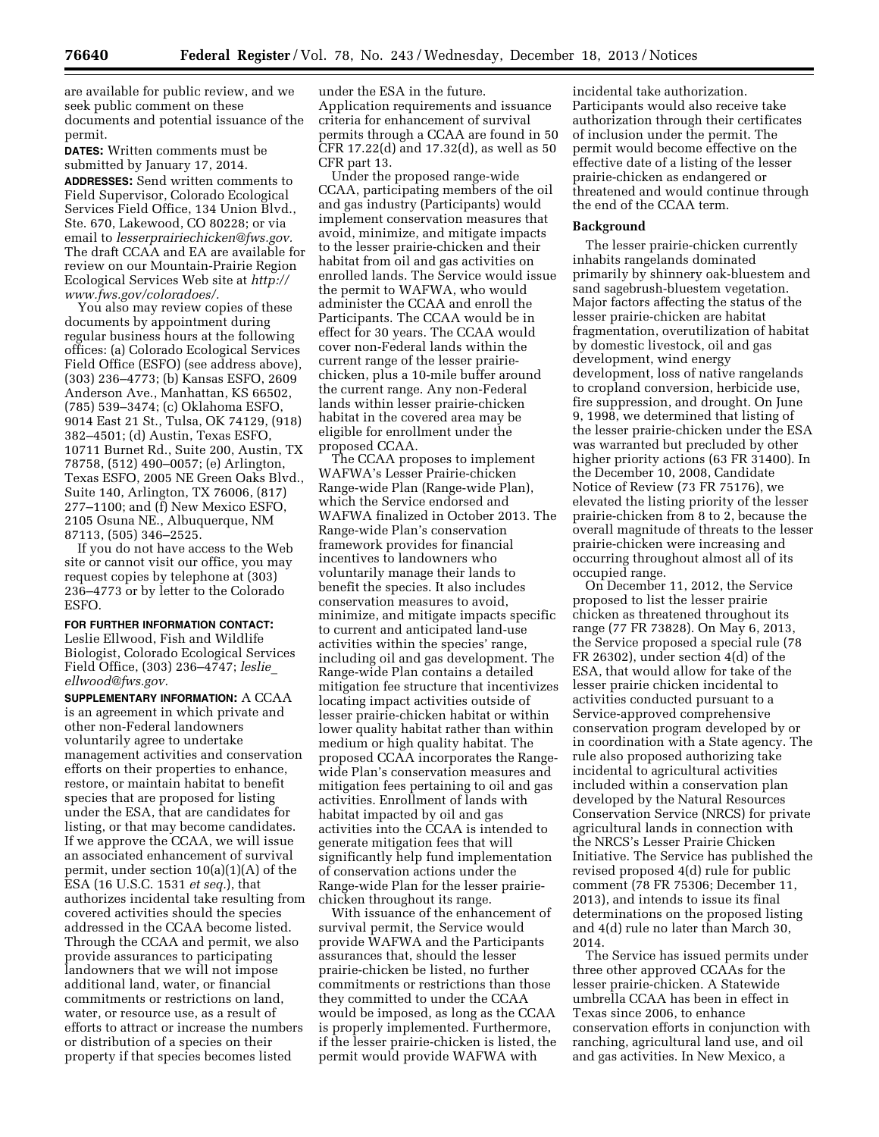are available for public review, and we seek public comment on these documents and potential issuance of the permit.

**DATES:** Written comments must be submitted by January 17, 2014.

**ADDRESSES:** Send written comments to Field Supervisor, Colorado Ecological Services Field Office, 134 Union Blvd., Ste. 670, Lakewood, CO 80228; or via email to *[lesserprairiechicken@fws.gov.](mailto:lesserprairiechicken@fws.gov)*  The draft CCAA and EA are available for review on our Mountain-Prairie Region Ecological Services Web site at *[http://](http://www.fws.gov/coloradoes/) [www.fws.gov/coloradoes/.](http://www.fws.gov/coloradoes/)* 

You also may review copies of these documents by appointment during regular business hours at the following offices: (a) Colorado Ecological Services Field Office (ESFO) (see address above), (303) 236–4773; (b) Kansas ESFO, 2609 Anderson Ave., Manhattan, KS 66502, (785) 539–3474; (c) Oklahoma ESFO, 9014 East 21 St., Tulsa, OK 74129, (918) 382–4501; (d) Austin, Texas ESFO, 10711 Burnet Rd., Suite 200, Austin, TX 78758, (512) 490–0057; (e) Arlington, Texas ESFO, 2005 NE Green Oaks Blvd., Suite 140, Arlington, TX 76006, (817) 277–1100; and (f) New Mexico ESFO, 2105 Osuna NE., Albuquerque, NM 87113, (505) 346–2525.

If you do not have access to the Web site or cannot visit our office, you may request copies by telephone at (303) 236–4773 or by letter to the Colorado ESFO.

# **FOR FURTHER INFORMATION CONTACT:**

Leslie Ellwood, Fish and Wildlife Biologist, Colorado Ecological Services Field Office, (303) 236–4747; *[leslie](mailto:leslie_ellwood@fws.gov)*\_ *[ellwood@fws.gov.](mailto:leslie_ellwood@fws.gov)* 

**SUPPLEMENTARY INFORMATION:** A CCAA is an agreement in which private and other non-Federal landowners voluntarily agree to undertake management activities and conservation efforts on their properties to enhance, restore, or maintain habitat to benefit species that are proposed for listing under the ESA, that are candidates for listing, or that may become candidates. If we approve the CCAA, we will issue an associated enhancement of survival permit, under section 10(a)(1)(A) of the ESA (16 U.S.C. 1531 *et seq.*), that authorizes incidental take resulting from covered activities should the species addressed in the CCAA become listed. Through the CCAA and permit, we also provide assurances to participating landowners that we will not impose additional land, water, or financial commitments or restrictions on land, water, or resource use, as a result of efforts to attract or increase the numbers or distribution of a species on their property if that species becomes listed

under the ESA in the future. Application requirements and issuance criteria for enhancement of survival permits through a CCAA are found in 50 CFR 17.22(d) and 17.32(d), as well as 50 CFR part 13.

Under the proposed range-wide CCAA, participating members of the oil and gas industry (Participants) would implement conservation measures that avoid, minimize, and mitigate impacts to the lesser prairie-chicken and their habitat from oil and gas activities on enrolled lands. The Service would issue the permit to WAFWA, who would administer the CCAA and enroll the Participants. The CCAA would be in effect for 30 years. The CCAA would cover non-Federal lands within the current range of the lesser prairiechicken, plus a 10-mile buffer around the current range. Any non-Federal lands within lesser prairie-chicken habitat in the covered area may be eligible for enrollment under the proposed CCAA.

The CCAA proposes to implement WAFWA's Lesser Prairie-chicken Range-wide Plan (Range-wide Plan), which the Service endorsed and WAFWA finalized in October 2013. The Range-wide Plan's conservation framework provides for financial incentives to landowners who voluntarily manage their lands to benefit the species. It also includes conservation measures to avoid, minimize, and mitigate impacts specific to current and anticipated land-use activities within the species' range, including oil and gas development. The Range-wide Plan contains a detailed mitigation fee structure that incentivizes locating impact activities outside of lesser prairie-chicken habitat or within lower quality habitat rather than within medium or high quality habitat. The proposed CCAA incorporates the Rangewide Plan's conservation measures and mitigation fees pertaining to oil and gas activities. Enrollment of lands with habitat impacted by oil and gas activities into the CCAA is intended to generate mitigation fees that will significantly help fund implementation of conservation actions under the Range-wide Plan for the lesser prairiechicken throughout its range.

With issuance of the enhancement of survival permit, the Service would provide WAFWA and the Participants assurances that, should the lesser prairie-chicken be listed, no further commitments or restrictions than those they committed to under the CCAA would be imposed, as long as the CCAA is properly implemented. Furthermore, if the lesser prairie-chicken is listed, the permit would provide WAFWA with

incidental take authorization. Participants would also receive take authorization through their certificates of inclusion under the permit. The permit would become effective on the effective date of a listing of the lesser prairie-chicken as endangered or threatened and would continue through the end of the CCAA term.

### **Background**

The lesser prairie-chicken currently inhabits rangelands dominated primarily by shinnery oak-bluestem and sand sagebrush-bluestem vegetation. Major factors affecting the status of the lesser prairie-chicken are habitat fragmentation, overutilization of habitat by domestic livestock, oil and gas development, wind energy development, loss of native rangelands to cropland conversion, herbicide use, fire suppression, and drought. On June 9, 1998, we determined that listing of the lesser prairie-chicken under the ESA was warranted but precluded by other higher priority actions (63 FR 31400). In the December 10, 2008, Candidate Notice of Review (73 FR 75176), we elevated the listing priority of the lesser prairie-chicken from 8 to 2, because the overall magnitude of threats to the lesser prairie-chicken were increasing and occurring throughout almost all of its occupied range.

On December 11, 2012, the Service proposed to list the lesser prairie chicken as threatened throughout its range (77 FR 73828). On May 6, 2013, the Service proposed a special rule (78 FR 26302), under section 4(d) of the ESA, that would allow for take of the lesser prairie chicken incidental to activities conducted pursuant to a Service-approved comprehensive conservation program developed by or in coordination with a State agency. The rule also proposed authorizing take incidental to agricultural activities included within a conservation plan developed by the Natural Resources Conservation Service (NRCS) for private agricultural lands in connection with the NRCS's Lesser Prairie Chicken Initiative. The Service has published the revised proposed 4(d) rule for public comment (78 FR 75306; December 11, 2013), and intends to issue its final determinations on the proposed listing and 4(d) rule no later than March 30, 2014.

The Service has issued permits under three other approved CCAAs for the lesser prairie-chicken. A Statewide umbrella CCAA has been in effect in Texas since 2006, to enhance conservation efforts in conjunction with ranching, agricultural land use, and oil and gas activities. In New Mexico, a